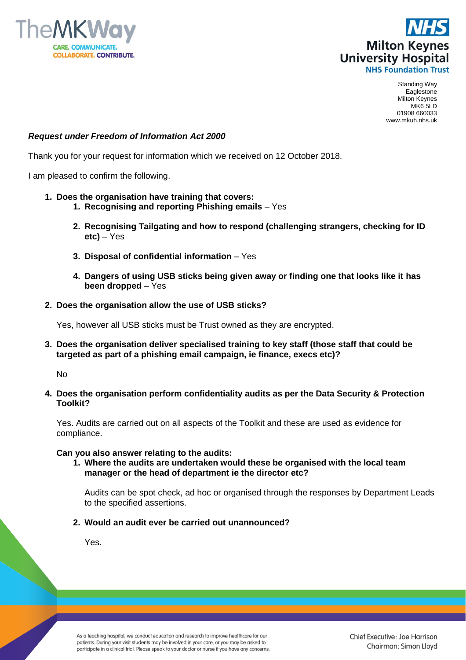



Standing Way Eaglestone Milton Keynes MK6 5LD 01908 660033 www.mkuh.nhs.uk

## *Request under Freedom of Information Act 2000*

Thank you for your request for information which we received on 12 October 2018.

I am pleased to confirm the following.

## **1. Does the organisation have training that covers:**

- **1. Recognising and reporting Phishing emails** Yes
- **2. Recognising Tailgating and how to respond (challenging strangers, checking for ID etc)** – Yes
- **3. Disposal of confidential information** Yes
- **4. Dangers of using USB sticks being given away or finding one that looks like it has been dropped** – Yes
- **2. Does the organisation allow the use of USB sticks?**

Yes, however all USB sticks must be Trust owned as they are encrypted.

**3. Does the organisation deliver specialised training to key staff (those staff that could be targeted as part of a phishing email campaign, ie finance, execs etc)?**

No

**4. Does the organisation perform confidentiality audits as per the Data Security & Protection Toolkit?**

Yes. Audits are carried out on all aspects of the Toolkit and these are used as evidence for compliance.

## **Can you also answer relating to the audits:**

**1. Where the audits are undertaken would these be organised with the local team manager or the head of department ie the director etc?**

Audits can be spot check, ad hoc or organised through the responses by Department Leads to the specified assertions.

## **2. Would an audit ever be carried out unannounced?**

Yes.